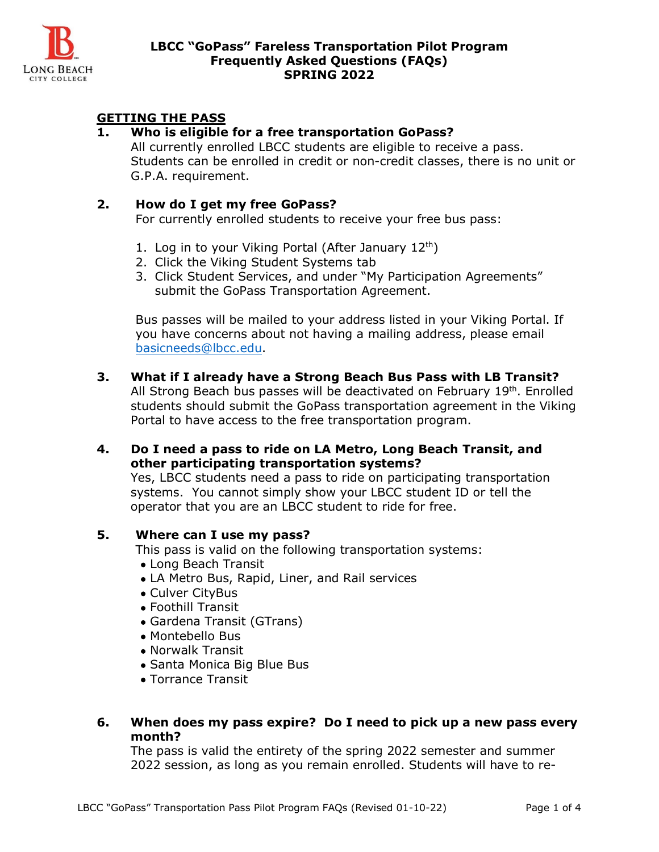

# **GETTING THE PASS**

### **1. Who is eligible for a free transportation GoPass?**

All currently enrolled LBCC students are eligible to receive a pass. Students can be enrolled in credit or non-credit classes, there is no unit or G.P.A. requirement.

### **2. How do I get my free GoPass?**

For currently enrolled students to receive your free bus pass:

- 1. Log in to your Viking Portal (After January  $12<sup>th</sup>$ )
- 2. Click the Viking Student Systems tab
- 3. Click Student Services, and under "My Participation Agreements" submit the GoPass Transportation Agreement.

Bus passes will be mailed to your address listed in your Viking Portal. If you have concerns about not having a mailing address, please email [basicneeds@lbcc.edu.](mailto:basicneeds@lbcc.edu)

- **3. What if I already have a Strong Beach Bus Pass with LB Transit?** All Strong Beach bus passes will be deactivated on February 19<sup>th</sup>. Enrolled students should submit the GoPass transportation agreement in the Viking Portal to have access to the free transportation program.
- **4. Do I need a pass to ride on LA Metro, Long Beach Transit, and other participating transportation systems?**

Yes, LBCC students need a pass to ride on participating transportation systems. You cannot simply show your LBCC student ID or tell the operator that you are an LBCC student to ride for free.

## **5. Where can I use my pass?**

This pass is valid on the following transportation systems:

- Long Beach Transit
- LA Metro Bus, Rapid, Liner, and Rail services
- Culver CityBus
- Foothill Transit
- Gardena Transit (GTrans)
- Montebello Bus
- Norwalk Transit
- Santa Monica Big Blue Bus
- Torrance Transit
- **6. When does my pass expire? Do I need to pick up a new pass every month?**

The pass is valid the entirety of the spring 2022 semester and summer 2022 session, as long as you remain enrolled. Students will have to re-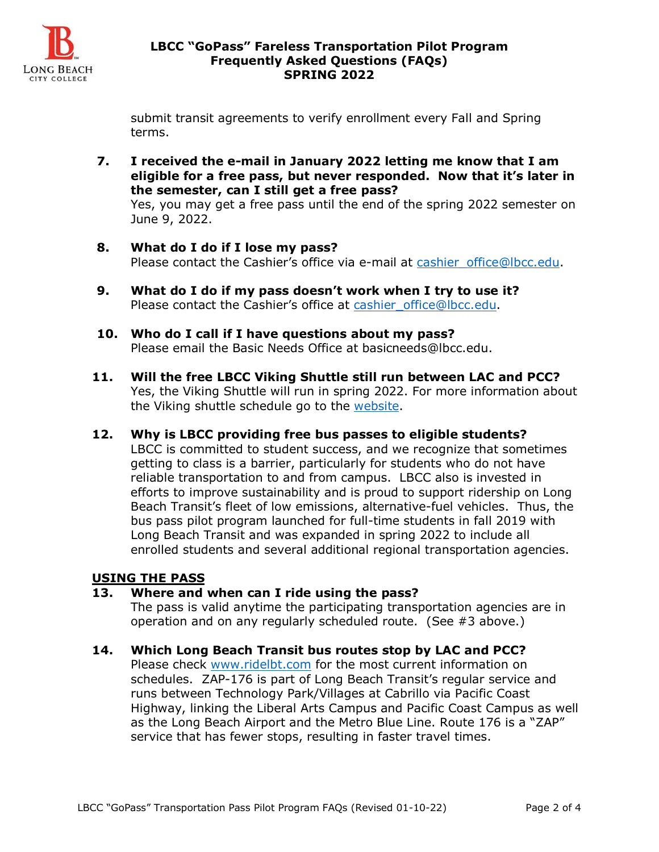

#### **LBCC "GoPass" Fareless Transportation Pilot Program Frequently Asked Questions (FAQs) SPRING 2022**

submit transit agreements to verify enrollment every Fall and Spring terms.

**7. I received the e-mail in January 2022 letting me know that I am eligible for a free pass, but never responded. Now that it's later in the semester, can I still get a free pass?**

Yes, you may get a free pass until the end of the spring 2022 semester on June 9, 2022.

- **8. What do I do if I lose my pass?** Please contact the Cashier's office via e-mail at [cashier\\_office@lbcc.edu.](mailto:cashier_office@lbcc.edu)
- **9. What do I do if my pass doesn't work when I try to use it?** Please contact the Cashier's office at [cashier\\_office@lbcc.edu.](mailto:cashier_office@lbcc.edu)
- **10. Who do I call if I have questions about my pass?** Please email the Basic Needs Office at basicneeds@lbcc.edu.
- **11. Will the free LBCC Viking Shuttle still run between LAC and PCC?** Yes, the Viking Shuttle will run in spring 2022. For more information about the Viking shuttle schedule go to the [website.](https://www.lbcc.edu/post/transportation)
- **12. Why is LBCC providing free bus passes to eligible students?** LBCC is committed to student success, and we recognize that sometimes getting to class is a barrier, particularly for students who do not have reliable transportation to and from campus. LBCC also is invested in efforts to improve sustainability and is proud to support ridership on Long Beach Transit's fleet of low emissions, alternative-fuel vehicles. Thus, the bus pass pilot program launched for full-time students in fall 2019 with Long Beach Transit and was expanded in spring 2022 to include all enrolled students and several additional regional transportation agencies.

## **USING THE PASS**

## **13. Where and when can I ride using the pass?**

The pass is valid anytime the participating transportation agencies are in operation and on any regularly scheduled route. (See #3 above.)

**14. Which Long Beach Transit bus routes stop by LAC and PCC?** Please check [www.ridelbt.com](http://www.ridelbt.com/) for the most current information on schedules. ZAP-176 is part of Long Beach Transit's regular service and runs between Technology Park/Villages at Cabrillo via Pacific Coast Highway, linking the Liberal Arts Campus and Pacific Coast Campus as well as the Long Beach Airport and the Metro Blue Line. Route 176 is a "ZAP" service that has fewer stops, resulting in faster travel times.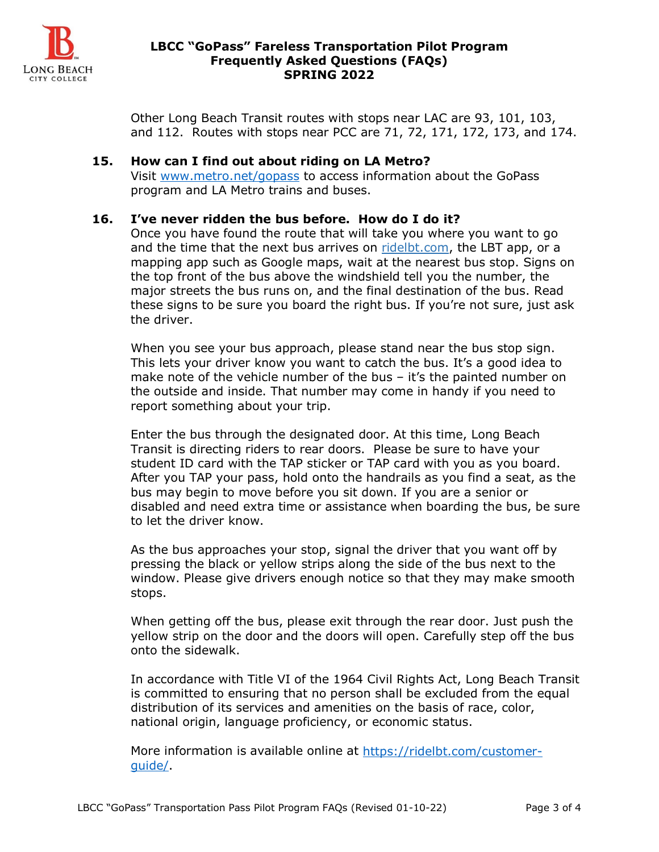

#### **LBCC "GoPass" Fareless Transportation Pilot Program Frequently Asked Questions (FAQs) SPRING 2022**

Other Long Beach Transit routes with stops near LAC are 93, 101, 103, and 112. Routes with stops near PCC are 71, 72, 171, 172, 173, and 174.

#### **15. How can I find out about riding on LA Metro?**

Visit [www.metro.net/gopass](http://www.metro.net/gopass) to access information about the GoPass program and LA Metro trains and buses.

#### **16. I've never ridden the bus before. How do I do it?**

Once you have found the route that will take you where you want to go and the time that the next bus arrives on [ridelbt.com,](https://ridelbt.com/) the LBT app, or a mapping app such as Google maps, wait at the nearest bus stop. Signs on the top front of the bus above the windshield tell you the number, the major streets the bus runs on, and the final destination of the bus. Read these signs to be sure you board the right bus. If you're not sure, just ask the driver.

When you see your bus approach, please stand near the bus stop sign. This lets your driver know you want to catch the bus. It's a good idea to make note of the vehicle number of the bus – it's the painted number on the outside and inside. That number may come in handy if you need to report something about your trip.

Enter the bus through the designated door. At this time, Long Beach Transit is directing riders to rear doors. Please be sure to have your student ID card with the TAP sticker or TAP card with you as you board. After you TAP your pass, hold onto the handrails as you find a seat, as the bus may begin to move before you sit down. If you are a senior or disabled and need extra time or assistance when boarding the bus, be sure to let the driver know.

As the bus approaches your stop, signal the driver that you want off by pressing the black or yellow strips along the side of the bus next to the window. Please give drivers enough notice so that they may make smooth stops.

When getting off the bus, please exit through the rear door. Just push the yellow strip on the door and the doors will open. Carefully step off the bus onto the sidewalk.

In accordance with Title VI of the 1964 Civil Rights Act, Long Beach Transit is committed to ensuring that no person shall be excluded from the equal distribution of its services and amenities on the basis of race, color, national origin, language proficiency, or economic status.

More information is available online at [https://ridelbt.com/customer](https://ridelbt.com/customer-guide/)[guide/.](https://ridelbt.com/customer-guide/)